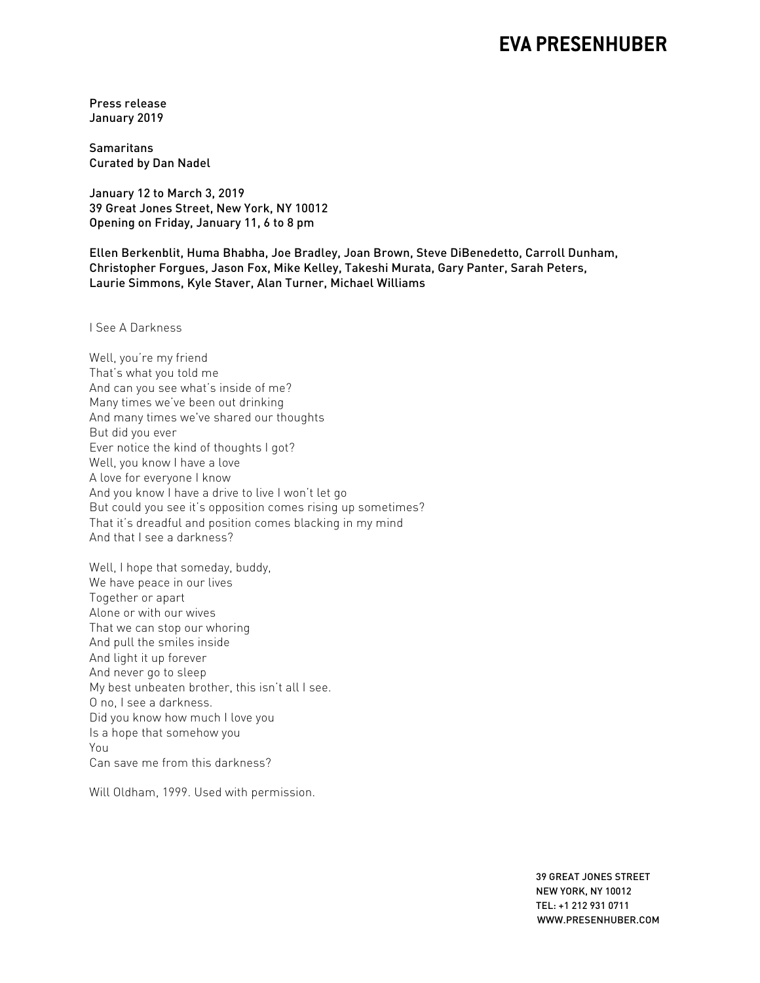## **EVA PRESENHUBER**

Press release January 2019

**Samaritans** Curated by Dan Nadel

January 12 to March 3, 2019 39 Great Jones Street, New York, NY 10012 Opening on Friday, January 11, 6 to 8 pm

Ellen Berkenblit, Huma Bhabha, Joe Bradley, Joan Brown, Steve DiBenedetto, Carroll Dunham, Christopher Forgues, Jason Fox, Mike Kelley, Takeshi Murata, Gary Panter, Sarah Peters, Laurie Simmons, Kyle Staver, Alan Turner, Michael Williams

I See A Darkness

Well, you're my friend That's what you told me And can you see what's inside of me? Many times we've been out drinking And many times we've shared our thoughts But did you ever Ever notice the kind of thoughts I got? Well, you know I have a love A love for everyone I know And you know I have a drive to live I won't let go But could you see it's opposition comes rising up sometimes? That it's dreadful and position comes blacking in my mind And that I see a darkness?

Well, I hope that someday, buddy, We have peace in our lives Together or apart Alone or with our wives That we can stop our whoring And pull the smiles inside And light it up forever And never go to sleep My best unbeaten brother, this isn't all I see. O no, I see a darkness. Did you know how much I love you Is a hope that somehow you You Can save me from this darkness?

Will Oldham, 1999. Used with permission.

 39 GREAT JONES STREET NEW YORK, NY 10012 TEL: +1 212 931 0711 WWW.PRESENHUBER.COM